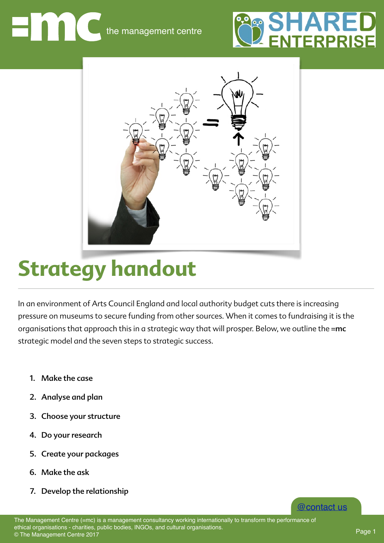the management centre





## **Strategy handout**

In an environment of Arts Council England and local authority budget cuts there is increasing pressure on museums to secure funding from other sources. When it comes to fundraising it is the organisations that approach this in a strategic way that will prosper. Below, we outline the =mc strategic model and the seven steps to strategic success.

- 1. Make the case
- 2. Analyse and plan
- 3. Choose your structure
- 4. Do your research
- 5. Create your packages
- 6. Make the ask
- 7. Develop the relationship

The Management Centre (=mc) is a management consultancy working internationally to transform the performance of ethical organisations - charities, public bodies, INGOs, and cultural organisations. © The Management Centre 2017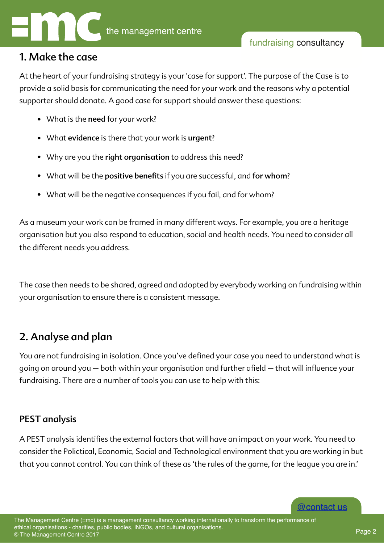#### 1. Make the case

At the heart of your fundraising strategy is your 'case for support'. The purpose of the Case is to provide a solid basis for communicating the need for your work and the reasons why a potential supporter should donate. A good case for support should answer these questions:

- What is the need for your work?
- What evidence is there that your work is urgent?
- Why are you the right organisation to address this need?
- What will be the positive benefits if you are successful, and for whom?
- What will be the negative consequences if you fail, and for whom?

As a museum your work can be framed in many different ways. For example, you are a heritage organisation but you also respond to education, social and health needs. You need to consider all the different needs you address.

The case then needs to be shared, agreed and adopted by everybody working on fundraising within your organisation to ensure there is a consistent message.

### 2. Analyse and plan

You are not fundraising in isolation. Once you've defined your case you need to understand what is going on around you - both within your organisation and further afield - that will influence your fundraising. There are a number of tools you can use to help with this:

#### PEST analysis

A PEST analysis identifes the external factors that will have an impact on your work. You need to consider the Polictical, Economic, Social and Technological environment that you are working in but that you cannot control. You can think of these as 'the rules of the game, for the league you are in.'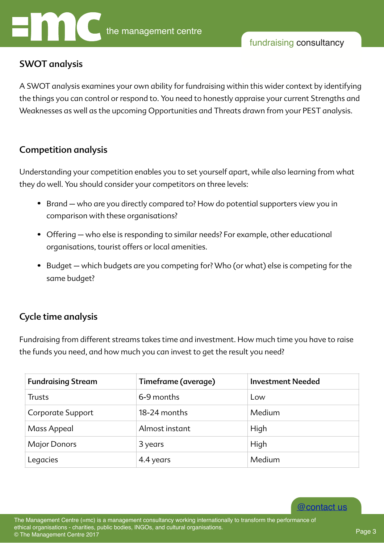# the management centre

#### fundraising consultancy

#### SWOT analysis

A SWOT analysis examines your own ability for fundraising within this wider context by identifying the things you can control or respond to. You need to honestly appraise your current Strengths and Weaknesses as well as the upcoming Opportunities and Threats drawn from your PEST analysis.

#### Competition analysis

Understanding your competition enables you to set yourself apart, while also learning from what they do well. You should consider your competitors on three levels:

- Brand who are you directly compared to? How do potential supporters view you in comparison with these organisations?
- Offering who else is responding to similar needs? For example, other educational organisations, tourist offers or local amenities.
- Budget which budgets are you competing for? Who (or what) else is competing for the same budget?

#### Cycle time analysis

Fundraising from different streams takes time and investment. How much time you have to raise the funds you need, and how much you can invest to get the result you need?

| <b>Fundraising Stream</b> | Timeframe (average) | <b>Investment Needed</b> |
|---------------------------|---------------------|--------------------------|
| <b>Trusts</b>             | 6-9 months          | Low                      |
| Corporate Support         | 18-24 months        | Medium                   |
| Mass Appeal               | Almost instant      | High                     |
| <b>Major Donors</b>       | 3 years             | High                     |
| Legacies                  | 4.4 years           | Medium                   |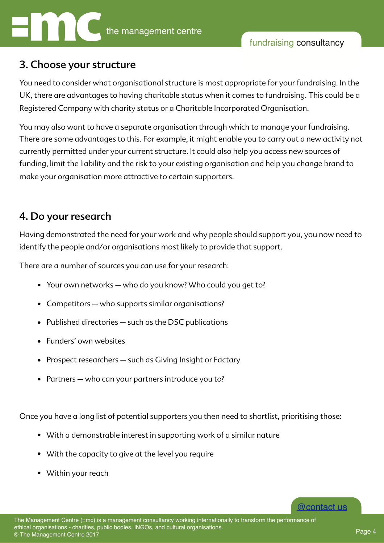#### 3. Choose your structure

You need to consider what organisational structure is most appropriate for your fundraising. In the UK, there are advantages to having charitable status when it comes to fundraising. This could be a Registered Company with charity status or a Charitable Incorporated Organisation.

You may also want to have a separate organisation through which to manage your fundraising. There are some advantages to this. For example, it might enable you to carry out a new activity not currently permitted under your current structure. It could also help you access new sources of funding, limit the liability and the risk to your existing organisation and help you change brand to make your organisation more attractive to certain supporters.

#### 4. Do your research

Having demonstrated the need for your work and why people should support you, you now need to identify the people and/or organisations most likely to provide that support.

There are a number of sources you can use for your research:

- Your own networks who do you know? Who could you get to?
- Competitors who supports similar organisations?
- Published directories such as the DSC publications
- Funders' own websites
- Prospect researchers such as Giving Insight or Factary
- Partners who can your partners introduce you to?

Once you have a long list of potential supporters you then need to shortlist, prioritising those:

- With a demonstrable interest in supporting work of a similar nature
- With the capacity to give at the level you require
- Within your reach